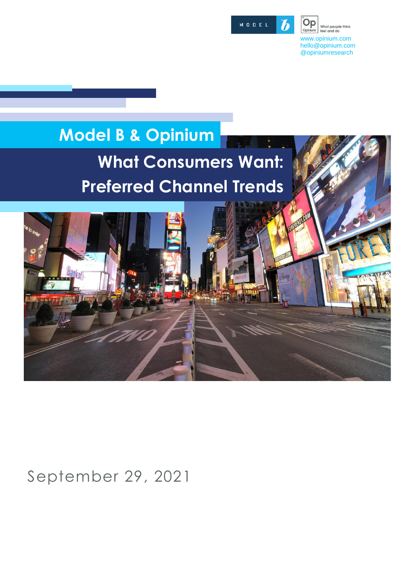

Õр What people think,<br>feel and do Opinium www.opinium.com [hello@opinium.com](mailto:research@opinium.co.uk) @opiniumresearch

# **Model B & Opinium What Consumers Want: Preferred Channel Trends**

September 29, 2021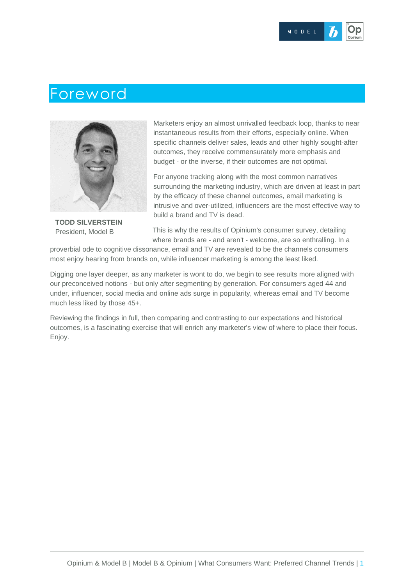## Foreword



**TODD SILVERSTEIN** President, Model B

Marketers enjoy an almost unrivalled feedback loop, thanks to near instantaneous results from their efforts, especially online. When specific channels deliver sales, leads and other highly sought-after outcomes, they receive commensurately more emphasis and budget - or the inverse, if their outcomes are not optimal.

For anyone tracking along with the most common narratives surrounding the marketing industry, which are driven at least in part by the efficacy of these channel outcomes, email marketing is intrusive and over-utilized, influencers are the most effective way to build a brand and TV is dead.

This is why the results of Opinium's consumer survey, detailing where brands are - and aren't - welcome, are so enthralling. In a

proverbial ode to cognitive dissonance, email and TV are revealed to be the channels consumers most enjoy hearing from brands on, while influencer marketing is among the least liked.

Digging one layer deeper, as any marketer is wont to do, we begin to see results more aligned with our preconceived notions - but only after segmenting by generation. For consumers aged 44 and under, influencer, social media and online ads surge in popularity, whereas email and TV become much less liked by those 45+.

Reviewing the findings in full, then comparing and contrasting to our expectations and historical outcomes, is a fascinating exercise that will enrich any marketer's view of where to place their focus. Enjoy.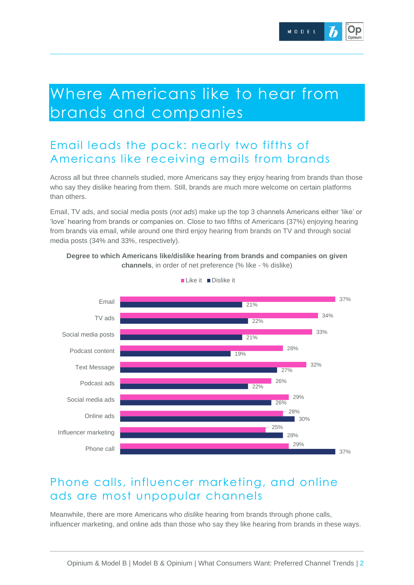# Where Americans like to hear from brands and companies

## Email leads the pack: nearly two fifths of Americans like receiving emails from brands

Across all but three channels studied, more Americans say they enjoy hearing from brands than those who say they dislike hearing from them. Still, brands are much more welcome on certain platforms than others.

Email, TV ads, and social media posts (*not ads*) make up the top 3 channels Americans either 'like' or 'love' hearing from brands or companies on. Close to two fifths of Americans (37%) enjoying hearing from brands via email, while around one third enjoy hearing from brands on TV and through social media posts (34% and 33%, respectively).





#### Phone calls, influencer marketing, and online ads are most unpopular channels

Meanwhile, there are more Americans who *dislike* hearing from brands through phone calls, influencer marketing, and online ads than those who say they like hearing from brands in these ways.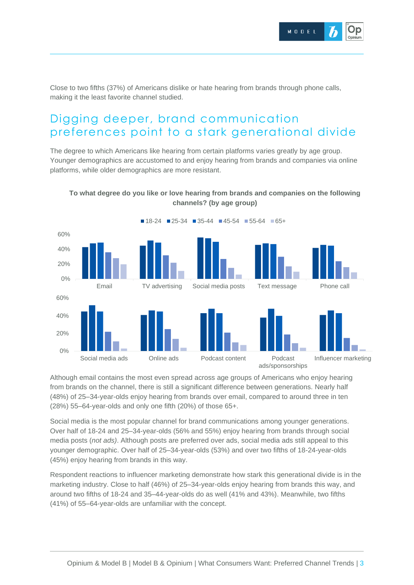

Close to two fifths (37%) of Americans dislike or hate hearing from brands through phone calls, making it the least favorite channel studied.

## Digging deeper, brand communication preferences point to a stark generational divide

The degree to which Americans like hearing from certain platforms varies greatly by age group. Younger demographics are accustomed to and enjoy hearing from brands and companies via online platforms, while older demographics are more resistant.



#### **To what degree do you like or love hearing from brands and companies on the following channels? (by age group)**

Although email contains the most even spread across age groups of Americans who enjoy hearing from brands on the channel, there is still a significant difference between generations. Nearly half (48%) of 25–34-year-olds enjoy hearing from brands over email, compared to around three in ten (28%) 55–64-year-olds and only one fifth (20%) of those 65+.

Social media is the most popular channel for brand communications among younger generations. Over half of 18-24 and 25–34-year-olds (56% and 55%) enjoy hearing from brands through social media posts (*not ads)*. Although posts are preferred over ads, social media ads still appeal to this younger demographic. Over half of 25–34-year-olds (53%) and over two fifths of 18-24-year-olds (45%) enjoy hearing from brands in this way.

Respondent reactions to influencer marketing demonstrate how stark this generational divide is in the marketing industry. Close to half (46%) of 25–34-year-olds enjoy hearing from brands this way, and around two fifths of 18-24 and 35–44-year-olds do as well (41% and 43%). Meanwhile, two fifths (41%) of 55–64-year-olds are unfamiliar with the concept.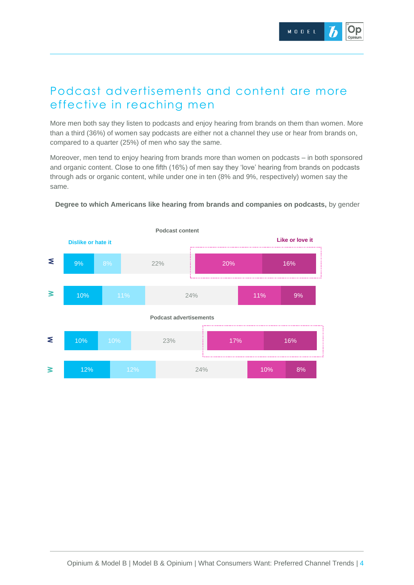#### Podcast advertisements and content are more effective in reaching men

More men both say they listen to podcasts and enjoy hearing from brands on them than women. More than a third (36%) of women say podcasts are either not a channel they use or hear from brands on, compared to a quarter (25%) of men who say the same.

Moreover, men tend to enjoy hearing from brands more than women on podcasts – in both sponsored and organic content. Close to one fifth (16%) of men say they 'love' hearing from brands on podcasts through ads or organic content, while under one in ten (8% and 9%, respectively) women say the same.



**Degree to which Americans like hearing from brands and companies on podcasts,** by gender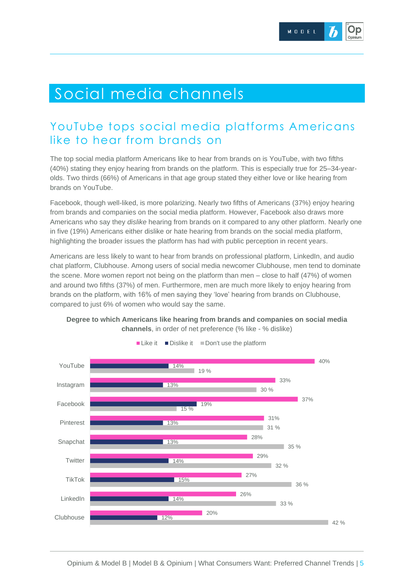# Social media channels

## YouTube tops social media platforms Americans like to hear from brands on

The top social media platform Americans like to hear from brands on is YouTube, with two fifths (40%) stating they enjoy hearing from brands on the platform. This is especially true for 25–34-yearolds. Two thirds (66%) of Americans in that age group stated they either love or like hearing from brands on YouTube.

Facebook, though well-liked, is more polarizing. Nearly two fifths of Americans (37%) enjoy hearing from brands and companies on the social media platform. However, Facebook also draws more Americans who say they *dislike* hearing from brands on it compared to any other platform. Nearly one in five (19%) Americans either dislike or hate hearing from brands on the social media platform, highlighting the broader issues the platform has had with public perception in recent years.

Americans are less likely to want to hear from brands on professional platform, LinkedIn, and audio chat platform, Clubhouse. Among users of social media newcomer Clubhouse, men tend to dominate the scene. More women report not being on the platform than men – close to half (47%) of women and around two fifths (37%) of men. Furthermore, men are much more likely to enjoy hearing from brands on the platform, with 16% of men saying they 'love' hearing from brands on Clubhouse, compared to just 6% of women who would say the same.



**Degree to which Americans like hearing from brands and companies on social media channels**, in order of net preference (% like - % dislike)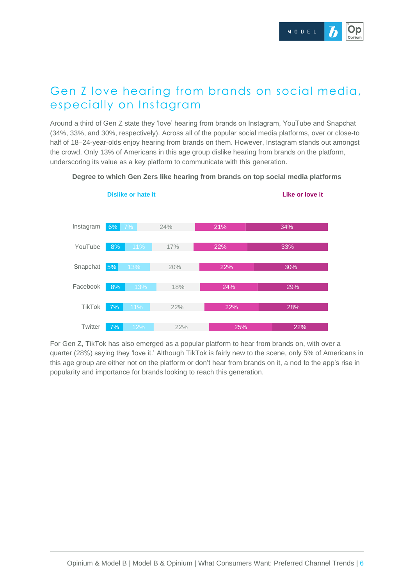## Gen Z love hearing from brands on social media, especially on Instagram

Around a third of Gen Z state they 'love' hearing from brands on Instagram, YouTube and Snapchat (34%, 33%, and 30%, respectively). Across all of the popular social media platforms, over or close-to half of 18–24-year-olds enjoy hearing from brands on them. However, Instagram stands out amongst the crowd. Only 13% of Americans in this age group dislike hearing from brands on the platform, underscoring its value as a key platform to communicate with this generation.



#### **Degree to which Gen Zers like hearing from brands on top social media platforms**

For Gen Z, TikTok has also emerged as a popular platform to hear from brands on, with over a quarter (28%) saying they 'love it.' Although TikTok is fairly new to the scene, only 5% of Americans in this age group are either not on the platform or don't hear from brands on it, a nod to the app's rise in popularity and importance for brands looking to reach this generation.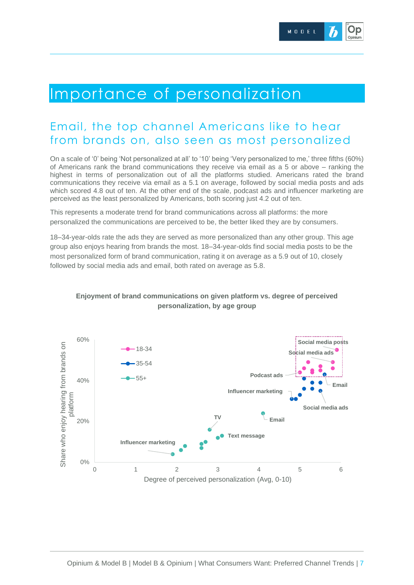

## Importance of personalization

#### Email, the top channel Americans like to hear from brands on, also seen as most personalized

On a scale of '0' being 'Not personalized at all' to '10' being 'Very personalized to me,' three fifths (60%) of Americans rank the brand communications they receive via email as a 5 or above – ranking the highest in terms of personalization out of all the platforms studied. Americans rated the brand communications they receive via email as a 5.1 on average, followed by social media posts and ads which scored 4.8 out of ten. At the other end of the scale, podcast ads and influencer marketing are perceived as the least personalized by Americans, both scoring just 4.2 out of ten.

This represents a moderate trend for brand communications across all platforms: the more personalized the communications are perceived to be, the better liked they are by consumers.

18–34-year-olds rate the ads they are served as more personalized than any other group. This age group also enjoys hearing from brands the most. 18–34-year-olds find social media posts to be the most personalized form of brand communication, rating it on average as a 5.9 out of 10, closely followed by social media ads and email, both rated on average as 5.8.



#### **Enjoyment of brand communications on given platform vs. degree of perceived personalization, by age group**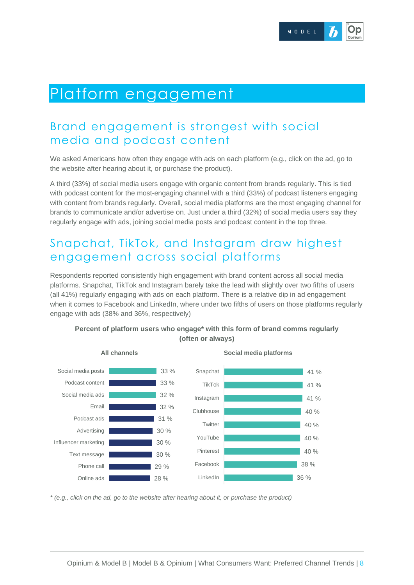## Platform engagement

## Brand engagement is strongest with social media and podcast content

We asked Americans how often they engage with ads on each platform (e.g., click on the ad, go to the website after hearing about it, or purchase the product).

A third (33%) of social media users engage with organic content from brands regularly. This is tied with podcast content for the most-engaging channel with a third (33%) of podcast listeners engaging with content from brands regularly. Overall, social media platforms are the most engaging channel for brands to communicate and/or advertise on. Just under a third (32%) of social media users say they regularly engage with ads, joining social media posts and podcast content in the top three.

## Snapchat, TikTok, and Instagram draw highest engagement across social platforms

Respondents reported consistently high engagement with brand content across all social media platforms. Snapchat, TikTok and Instagram barely take the lead with slightly over two fifths of users (all 41%) regularly engaging with ads on each platform. There is a relative dip in ad engagement when it comes to Facebook and LinkedIn, where under two fifths of users on those platforms regularly engage with ads (38% and 36%, respectively)



**Percent of platform users who engage\* with this form of brand comms regularly (often or always)**

*\* (e.g., click on the ad, go to the website after hearing about it, or purchase the product)*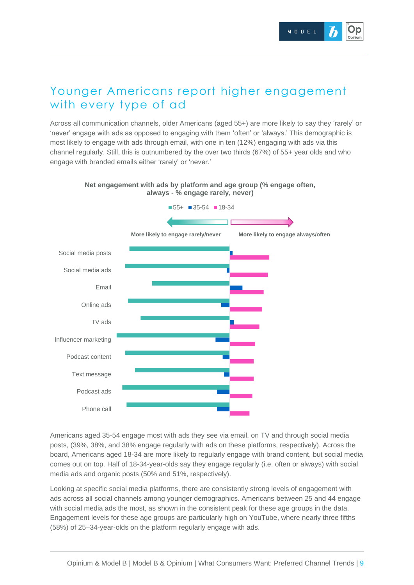#### Younger Americans report higher engagement with every type of ad

Across all communication channels, older Americans (aged 55+) are more likely to say they 'rarely' or 'never' engage with ads as opposed to engaging with them 'often' or 'always.' This demographic is most likely to engage with ads through email, with one in ten (12%) engaging with ads via this channel regularly. Still, this is outnumbered by the over two thirds (67%) of 55+ year olds and who engage with branded emails either 'rarely' or 'never.'



**Net engagement with ads by platform and age group (% engage often, always - % engage rarely, never)**

Americans aged 35-54 engage most with ads they see via email, on TV and through social media posts, (39%, 38%, and 38% engage regularly with ads on these platforms, respectively). Across the board, Americans aged 18-34 are more likely to regularly engage with brand content, but social media comes out on top. Half of 18-34-year-olds say they engage regularly (i.e. often or always) with social media ads and organic posts (50% and 51%, respectively).

Looking at specific social media platforms, there are consistently strong levels of engagement with ads across all social channels among younger demographics. Americans between 25 and 44 engage with social media ads the most, as shown in the consistent peak for these age groups in the data. Engagement levels for these age groups are particularly high on YouTube, where nearly three fifths (58%) of 25–34-year-olds on the platform regularly engage with ads.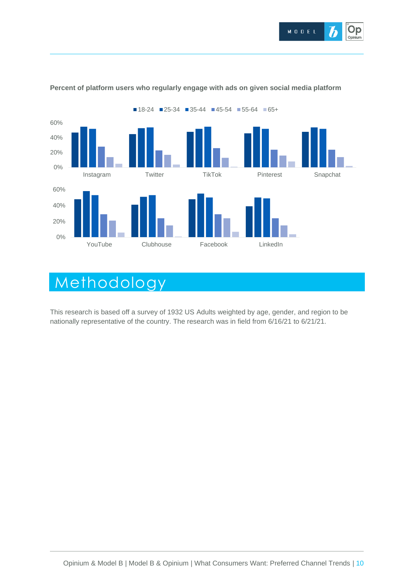



#### **Percent of platform users who regularly engage with ads on given social media platform**

# Methodology

This research is based off a survey of 1932 US Adults weighted by age, gender, and region to be nationally representative of the country. The research was in field from 6/16/21 to 6/21/21.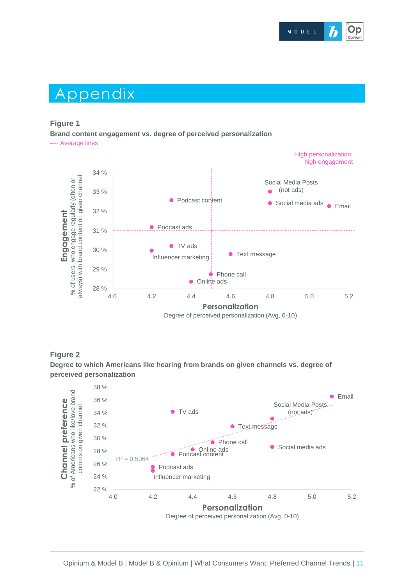

## Appendix

#### **Figure 1**

**Brand content engagement vs. degree of perceived personalization**

---- Average lines





**Degree to which Americans like hearing from brands on given channels vs. degree of perceived personalization**